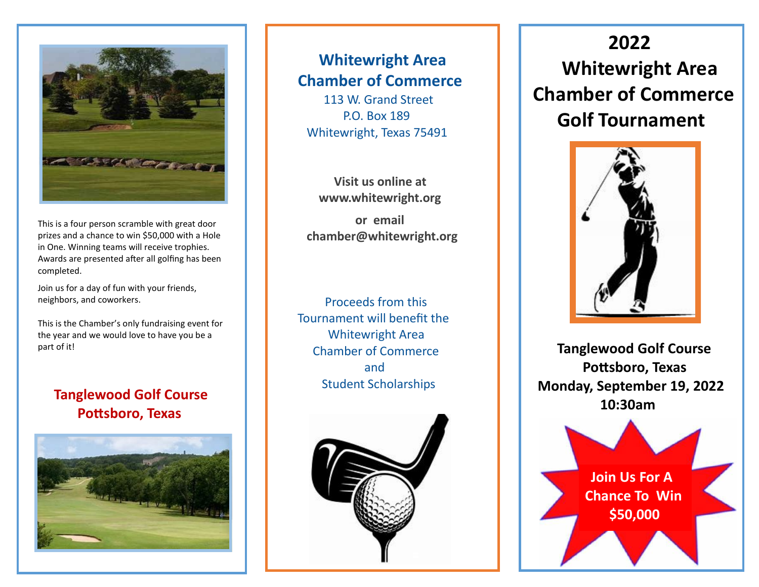

This is a four person scramble with great door prizes and a chance to win \$50,000 with a Hole in One. Winning teams will receive trophies. Awards are presented after all golfing has been completed.

Join us for a day of fun with your friends, neighbors, and coworkers.

This is the Chamber's only fundraising event for the year and we would love to have you be a part of it!

#### **Tanglewood Golf Course Pottsboro, Texas**



#### **Whitewright Area Chamber of Commerce**

113 W. Grand Street P.O. Box 189 Whitewright, Texas 75491

 **Visit us online at www.whitewright.org or email**

 **chamber@whitewright.org**

 Proceeds from this Tournament will benefit the Whitewright Area Chamber of Commerce and Student Scholarships



# **2022 Whitewright Area Chamber of Commerce Golf Tournament**



 **Tanglewood Golf Course Pottsboro, Texas Monday, September 19, 2022 10:30am**